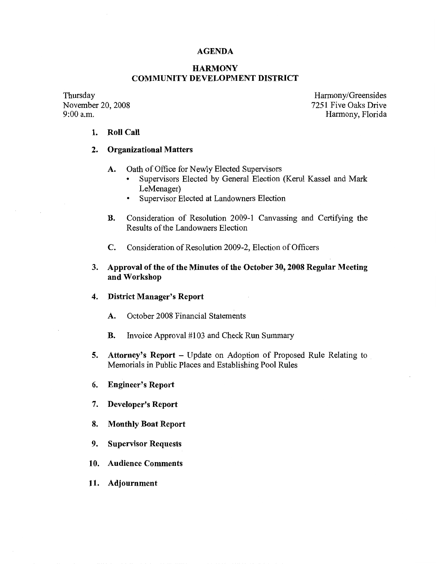# **AGENDA**

# **HARMONY COMMUNITY DEVELOPMENT DISTRICT**

Thursday November 20, 2008<br>9:00 a.m.

Harmony/Greensides 7251 Five Oaks Drive Harmony, Florida

### **1. Roll Call**

# **2. Organizational Matters**

- A. Oath of Office for Newly Elected Supervisors
	- Supervisors Elected by General Election (Kerul Kassel and Mark LeMenager)
	- Supervisor Elected at Landowners Election
- **B.** Consideration of Resolution 2009-1 Canvassing and Certifying the Results of the Landowners Election
- **C.** Consideration of Resolution 2009-2, Election of Officers
- **3. Approval of the of the Minutes of the October 30, 2008 Regular Meeting and Workshop**
- **4. District Manager's Report** 
	- **A.** October 2008 Financial Statements
	- **B.** Invoice Approval #103 and Check Run Summary
- **5.** Attorney's Report Update on Adoption of Proposed Rule Relating to Memorials in Public Places and Establishing Pool Rules
- 6. **Engineer's Report**
- 7. **Developer's Report**
- **8. Monthly Boat Report**
- 9. **Supervisor Requests**
- 10. **Audience Comments**
- **11. Adjournment**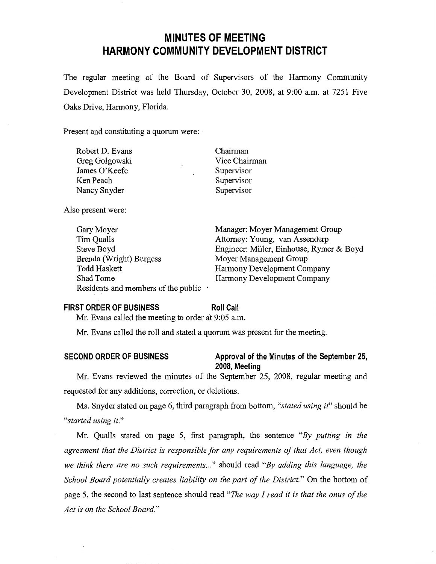# **MINUTES OF MEETING HARMONY COMMUNITY DEVELOPMENT DISTRICT**

The regular meeting of the Board of Supervisors of the Harmony Community Development District was held Thursday, October 30, 2008, at 9:00 a.m. at 7251 Five Oaks Drive, Harmony, Florida.

Present and constituting a quorum were:

| Robert D. Evans |   | Chairman      |
|-----------------|---|---------------|
| Greg Golgowski  |   | Vice Chairman |
| James O'Keefe   | ٠ | Supervisor    |
| Ken Peach       |   | Supervisor    |
| Nancy Snyder    |   | Supervisor    |
|                 |   |               |

Also present were:

Gary Moyer Tim Qualls Steve Boyd Brenda (Wright) Burgess Todd Haskett Shad Tome Residents and members of the public

Manager: Moyer Management Group Attorney: Young, van Assenderp Engineer: Miller, Einhouse, Rymer & Boyd Moyer Management Group Harmony Development Company Harmony Development Company

#### **FIRST ORDER OF BUSINESS**

#### **Roll Call**

Mr. Evans called the meeting to order at 9:05 a.m.

Mr. Evans called the roll and stated a quorum was present for the meeting.

# **SECOND ORDER OF BUSINESS Approval of the Minutes of the September 25,**

**2008, Meeting** 

Mr. Evans reviewed the minutes of the September 25, 2008, regular meeting and requested for any additions, correction, or deletions.

Ms. Snyder stated on page 6, third paragraph from bottom, *"stated using it"* should be *"started using it."* 

Mr. Qualls stated on page 5, first paragraph, the sentence *"By putting in the agreement that the District is responsible for any requirements of that Act, even though we think there are no such requirements ... "* should read *"By adding this language, the School Board potentially creates liability on the part of the District."* On the bottom of page 5, the second to last sentence should read *"The way I read it is that the onus of the Act is on the School Board."*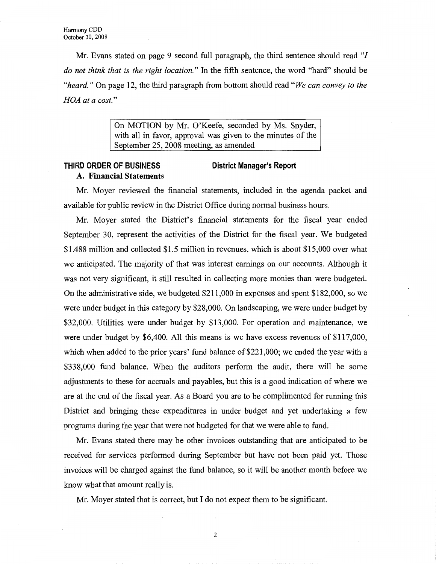**Mr.** Evans stated on page 9 second full paragraph, the third sentence should read "I *do not think that is the right location."* In the fifth sentence, the word "hard" should be *"heard."* On page 12, the third paragraph from bottom should read *"We can convey to the HOA at a cost."* 

> On MOTION by Mr. O'Keefe, seconded by Ms. Snyder, with all in favor, approval was given to the minutes of the September 25, 2008 meeting, as amended

#### **THIRD ORDER OF BUSINESS A. Financial Statements District Manager's Report**

Mr. Moyer reviewed the financial statements, included in the agenda packet and available for public review in the District Office during normal business hours.

Mr. Moyer stated the District's financial statements for the fiscal year ended September 30, represent the activities of the District for the fiscal year. We budgeted \$1.488 million and collected \$1.5 million in revenues, which is about \$15,000 over what we anticipated. The majority of that was interest earnings on our accounts. Although it was not very significant, it still resulted in collecting more monies than were budgeted. On the administrative side, we budgeted \$211,000 in expenses and spent \$182,000, so we were under budget in this category by \$28,000. On landscaping, we were under budget by \$32,000. Utilities were under budget by \$13,000. For operation and maintenance, we were under budget by \$6,400. All this means is we have excess revenues of \$117,000, which when added to the prior years' fund balance of \$221,000; we ended the year with a \$338,000 fund balance. When the auditors perform the audit, there will be some adjustments to these for accruals and payables, but this is a good indication of where we are at the end of the fiscal year. As a Board you are to be complimented for running this District and bringing these expenditures in under budget and yet undertaking a few programs during the year that were not budgeted for that we were able to fund.

Mr. Evans stated there may be other invoices outstanding that are anticipated to be received for services performed during September but have not been paid yet. Those invoices will be charged against the fund balance, so it will be another month before we know what that amount really is.

Mr. Moyer stated that is correct, but I do not expect them to be significant.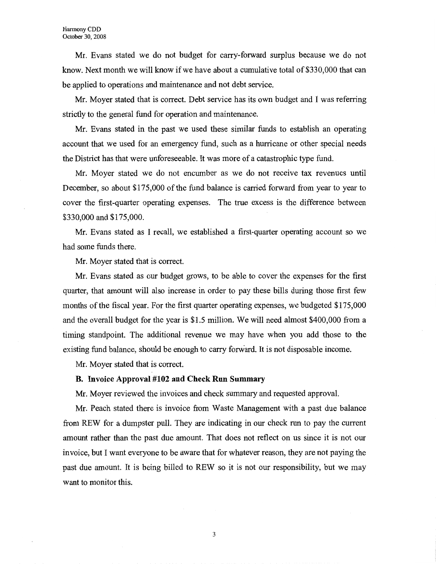Mr. Evans stated we do not budget for carry-forward surplus because we do not know. Next month we will know if we have about a cumulative total of \$330,000 that can be applied to operations and maintenance and not debt service.

Mr. Moyer stated that is correct. Debt service has its own budget and I was referring strictly to the general fund for operation and maintenance.

Mr. Evans stated in the past we used these similar funds to establish an operating account that we used for an emergency fund, such as a hurricane or other special needs the District has that were unforeseeable. It was more of a catastrophic type fund.

Mr. Moyer stated we do not encumber as we do not receive tax revenues until December, so about \$175,000 of the fund balance is carried forward from year to year to cover the first-quarter operating expenses. The true excess is the difference between \$330,000 and \$175,000.

Mr. Evans stated as I recall, we established a first-quarter operating account so we had some funds there.

Mr. Moyer stated that is correct.

Mr. Evans stated as our budget grows, to be able to cover the expenses for the first quarter, that amount will also increase in order to pay these bills during those first few months of the fiscal year. For the first quarter operating expenses, we budgeted \$175,000 and the overall budget for the year is \$1.5 million. We will need almost \$400,000 from a timing standpoint. The additional revenue we may have when you add those to the existing fund balance, should be enough to carry forward. It is not disposable income.

Mr. Moyer stated that is correct.

#### **B. Invoice Approval #102 and Check Run Summary**

Mr. Moyer reviewed the invoices and check summary and requested approval.

Mr. Peach stated there is invoice from Waste Management with a past due balance from REW for a dumpster pull. They are indicating in our check run to pay the current amount rather than the past due amount. That does not reflect on us since it is not our invoice, but I want everyone to be aware that for whatever reason, they are not paying the past due amount. It is being billed to REW so it is not our responsibility, but we may want to monitor this.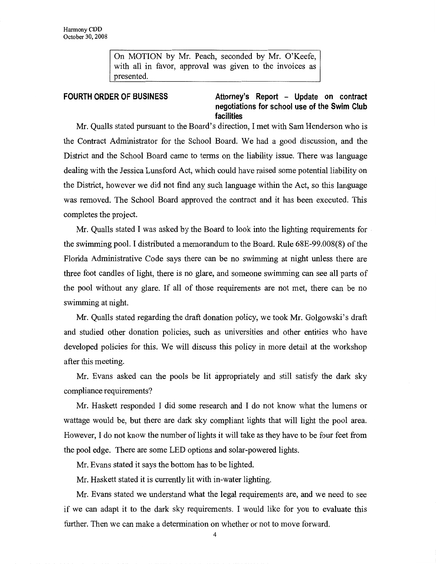On MOTION by Mr. Peach, seconded by Mr. O'Keefe, with all in favor, approval was given to the invoices as presented.

**FOURTH ORDER OF BUSINESS Attorney's Report - Update on contract negotiations for school use of the Swim Club facilities** 

Mr. Qualls stated pursuant to the Board's direction, I met with Sam Henderson who is the Contract Administrator for the School Board. We had a good discussion, and the District and the School Board came to terms on the liability issue. There was language dealing with the Jessica Lunsford Act, which could have raised some potential liability on the District, however we did not find any such language within the Act, so this language was removed. The School Board approved the contract and it has been executed. This completes the project.

Mr. Qualls stated I was asked by the Board to look into the lighting requirements for the swimming pool. I distributed a memorandum to the Board. Rule 68E-99.008(8) of the Florida Administrative Code says there can be no swimming at night unless there are three foot candles of light, there is no glare, and someone swimming can see all parts of the pool without any glare. If all of those requirements are not met, there can be no swimming at night.

Mr. Qualls stated regarding the draft donation policy, we took Mr. Golgowski's draft and studied other donation policies, such as universities and other entities who have developed policies for this. We will discuss this policy in more detail at the workshop after this meeting.

Mr. Evans asked can the pools be lit appropriately and still satisfy the dark sky compliance requirements?

Mr. Haskett responded I did some research and I do not know what the lumens or wattage would be, but there are dark sky compliant lights that will light the pool area. However, I do not know the number of lights it will take as they have to be four feet from the pool edge. There are some LED options and solar-powered lights.

Mr. Evans stated it says the bottom has to be lighted.

Mr. Haskett stated it is currently lit with in-water lighting.

Mr. Evans stated we understand what the legal requirements are, and we need to see if we can adapt it to the dark sky requirements. I would like for you to evaluate this further. Then we can make a determination on whether or not to move forward.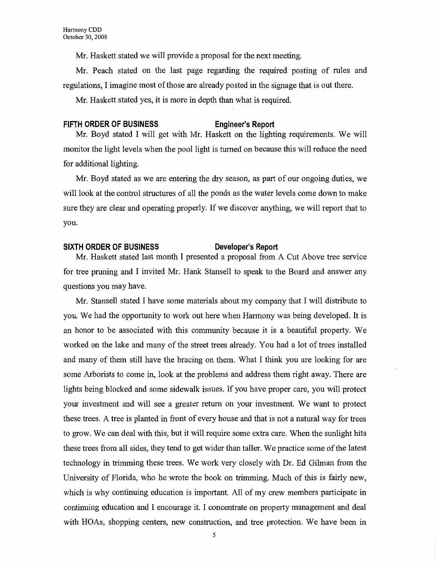Mr. Haskett stated we will provide a proposal for the next meeting.

Mr. Peach stated on the last page regarding the required posting of rules and regulations, I imagine most of those are already posted in the signage that is out there.

Mr. Haskett stated yes, it is more in depth than what is required.

#### **FIFTH ORDER OF BUSINESS Engineer's Report**

Mr. Boyd stated I will get with Mr. Haskett on the lighting requirements. We will monitor the light levels when the pool light is turned on because this will reduce the need for additional lighting.

Mr. Boyd stated as we are entering the dry season, as part of our ongoing duties, we will look at the control structures of all the ponds as the water levels come down to make sure they are clear and operating properly. If we discover anything, we will report that to you.

### SIXTH ORDER OF BUSINESS Developer's Report

Mr. Haskett stated last month I presented a proposal from A Cut Above tree service for tree pruning and I invited Mr. Hank Stansell to speak to the Board and answer any questions you may have.

Mr. Stansell stated I have some materials about my company that I will distribute to you. We had the opportunity to work out here when Harmony was being developed. It is an honor to be associated with this community because it is a beautiful property. We worked on the lake and many of the street trees already. You had a lot of trees installed and many of them still have the bracing on them. What I think you are looking for are some Arborists to come in, look at the problems and address them right away. There are lights being blocked and some sidewalk issues. If you have proper care, you will protect your investment and will see a greater return on your investment. We want to protect these trees. A tree is planted in front of every house and that is not a natural way for trees to grow. We can deal with this, but it will require some extra care. When the sunlight hits these trees from all sides, they tend to get wider than taller. We practice some of the latest technology in trimming these trees. We work very closely with Dr. Ed Gilman from the University of Florida, who he wrote the book on trimming. Much of this is fairly new, which is why continuing education is important. All of my crew members participate in continuing education and I encourage it. I concentrate on property management and deal with HOAs, shopping centers, new construction, and tree protection. We have been in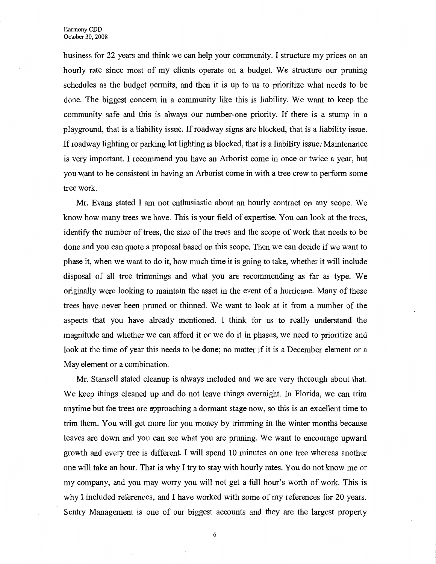business for 22 years and think we can help your community. I structure my prices on an hourly rate since most of my clients operate on a budget. We structure our pruning schedules as the budget permits, and then it is up to us to prioritize what needs to be done. The biggest concern in a community like this is liability. We want to keep the community safe and this is always our number-one priority. If there is a stump in a playground, that is a liability issue. If roadway signs are blocked, that is a liability issue. If roadway lighting or parking lot lighting is blocked, that is a liability *issue:* Maintenance is very important. I recommend you have an Arborist come in once or twice a year, but you want to be consistent in having an Arborist come in with a tree crew to perform some tree work.

Mr. Evans stated I am not enthusiastic about an hourly contract on any scope. We know how many trees we have. This is your field of expertise. You can look at the trees, identify the number of trees, the size of the trees and the scope of work that needs to be done and you can quote a proposal based on this scope. Then we can decide if we want to phase it, when we want to do it, how much time it is going to take, whether it will include disposal of all tree trimmings and what you are recommending as far as type. We originally were looking to maintain the asset in the event of a hurricane. Many of these trees have never been pruned or thinned. We want to look at it from a number of the aspects that you have already mentioned. I think for us to really understand the magnitude and whether we can afford it or we do it in phases, we need to prioritize and look at the time of year this needs to be done; no matter if it is a December element or a May element or a combination.

Mr. Stansell stated cleanup is always included and we are very thorough about that. We keep things cleaned up and do not leave things overnight. In Florida, we can trim anytime but the trees are approaching a dormant stage now, so this is an excellent time to trim them. You will get more for you money by trimming in the winter months because leaves are down and you can see what you are pruning. We want to encourage upward growth and every tree is different. I will spend 10 minutes on one tree whereas another one will take an hour. That is why I try to stay with hourly rates. You do not know me or my company, and you may worry you will not get a frill hour's worth of work. This is why I included references, and I have worked with some of my references for 20 years. Sentry Management is one of our biggest accounts and they are the largest property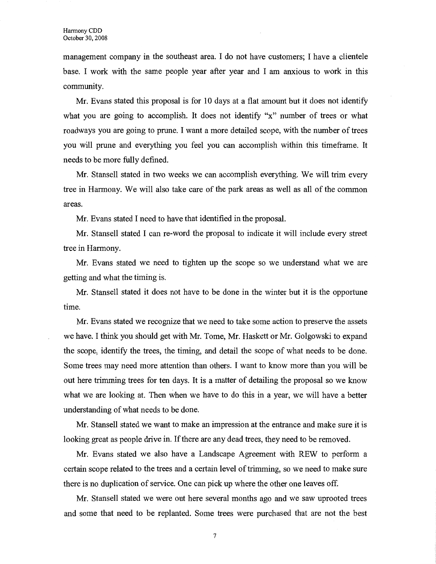management company in the southeast area. I do not have customers; I have a clientele base. I work with the same people year after year and I am anxious to work in this community.

Mr. Evans stated this proposal is for 10 days at a flat amount but it does not identify what you are going to accomplish. It does not identify "x" number of trees or what roadways you are going to prune. I want a more detailed scope, with the number of trees you will prune and everything you feel you can accomplish within this timeframe. It needs to be more fully defined.

Mr. Stansell stated in two weeks we can accomplish everything. We will trim every tree in Harmony. We will also take care of the park areas as well as all of the common areas.

Mr. Evans stated I need to have that identified in the proposal.

Mr. Stansell stated I can re-word the proposal to indicate it will include every street tree in Harmony.

Mr. Evans stated we need to tighten up the scope so we understand what we are getting and what the timing is.

Mr. Stansell stated it does not have to be done in the winter but it is the opportune time.

Mr. Evans stated we recognize that we need to take some action to preserve the assets we have. I think you should get with Mr. Tome, Mr. Haskett or Mr. Golgowski to expand the scope, identify the trees, the timing, and detail the scope of what needs to be done. Some trees may need more attention than others. I want to know more than you will be out here trimming trees for ten days. It is a matter of detailing the proposal so we know what we are looking at. Then when we have to do this in a year, we will have a better understanding of what needs to be done.

Mr. Stansell stated we want to make an impression at the entrance and make sure it is looking great as people drive in. If there are any dead trees, they need to be removed.

Mr. Evans stated we also have a Landscape Agreement with REW to perform a certain scope related to the trees and a certain level of trimming, so we need to make sure there is no duplication of service. One can pick up where the other one leaves off.

Mr. Stansell stated we were out here several months ago and we saw uprooted trees and some that need to be replanted. Some trees were purchased that are not the best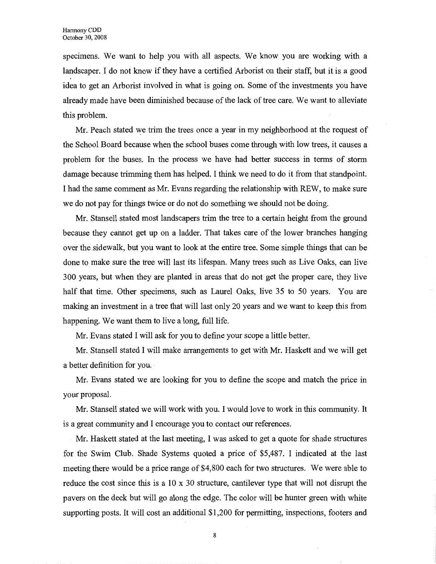specimens. We want to help you with all aspects. We know you are working with a landscaper. I do not know if they have a certified Arborist on their staff, but it is a good idea to get an Arborist involved in what is going on. Some of the investments you have already made have been diminished because of the lack of tree care. We want to alleviate this problem.

Mr. Peach stated we trim the trees once a year in my neighborhood at the request of the School Board because when the school buses come through with low trees, it causes a problem for the buses. In the process we have had better success in terms of storm damage because trimming them has helped. I think we need to do it from that standpoint. I had the same comment as Mr. Evans regarding the relationship with REW, to make sure we do not pay for things twice or do not do something we should not be doing.

Mr. Stansell stated most landscapers trim the tree to a certain height from the ground because they cannot get up on a ladder. That takes care of the lower branches hanging over the sidewalk, but you want to look at the entire tree. Some simple things that can be done to make sure the tree will last its lifespan. Many trees such as Live Oaks, can live 300 years, but when they are planted in areas that do not get the proper care, they live half that time. Other specimens, such as Laurel Oaks, live 35 to 50 years. You are making an investment in a tree that will last only 20 years and we want to keep this from happening. We want them to live a long, full life.

Mr. Evans stated I will ask for you to define your scope a little better.

Mr. Stansell stated I will make arrangements to get with Mr. Haskett and we will get a better definition for you.

Mr. Evans stated we are looking for you to define the scope and match the price in your proposal.

Mr. Stansell stated we will work with you. I would love to work in this community. It is a great community and I encourage you to contact our references.

Mr. Haskett stated at the last meeting, I was asked to get a quote for shade structures for the Swim Club. Shade Systems quoted a price of \$5,487. I indicated at the last meeting there would be a price range of \$4,800 each for two structures. We were able to reduce the cost since this is a 10 x 30 structure, cantilever type that will not disrupt the pavers on the deck but will go along the edge. The color will be hunter green with white supporting posts. It will cost an additional \$1,200 for permitting, inspections, footers and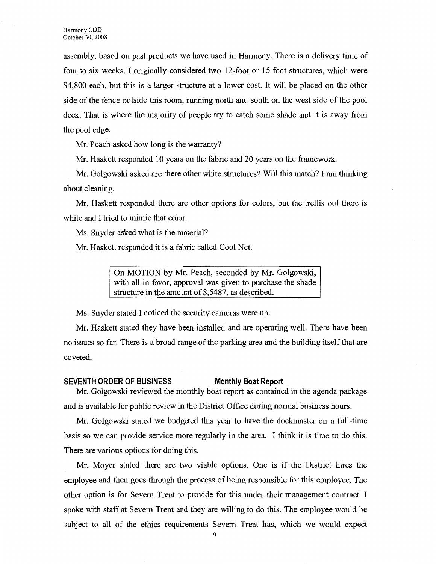assembly, based on past products we have used in Harmony. There is a delivery time of four to six weeks. I originally considered two 12-foot or 15-foot structures, which were \$4,800 each, but this is a larger structure at a lower cost. It will be placed on the other side of the fence outside this room, running north and south on the west side of the pool deck. That is where the majority of people try to catch some shade and it is away from the pool edge.

Mr. Peach asked how long is the warranty?

Mr. Haskett responded 10 years on the fabric and 20 years on the framework.

Mr. Golgowski asked are there other white structures? Will this match? I am thinking about cleaning.

Mr. Haskett responded there are other options for colors, but the trellis out there is white and I tried to mimic that color.

Ms. Snyder asked what is the material?

Mr. Haskett responded it is a fabric called Cool Net.

On MOTION by Mr. Peach, seconded by Mr. Golgowski, with all in favor, approval was given to purchase the shade structure in the amount of \$,5487, as described.

Ms. Snyder stated I noticed the security cameras were up.

**Mr.** Haskett stated they have been installed and are operating well. There have been no issues so far. There is a broad range of the parking area and the building itself that are covered.

### **SEVENTH ORDER OF BUSINESS Monthly Boat Report**

Mr. Golgowski reviewed the monthly boat report as contained in the agenda package and is available for public review in the District Office during normal business hours.

Mr. Golgowski stated we budgeted this year to have the dockrnaster on a full-time basis so we can provide service more regularly in the area. I think it is time to do this. There are various options for doing this.

Mr. Moyer stated there are two viable options. One is if the District hires the employee and then goes through the process of being responsible for this employee. The other option is for Severn Trent to provide for this under their management contract. I spoke with staff at Severn Trent and they are willing to do this. The employee would be subject to all of the ethics requirements Severn Trent has, which we would expect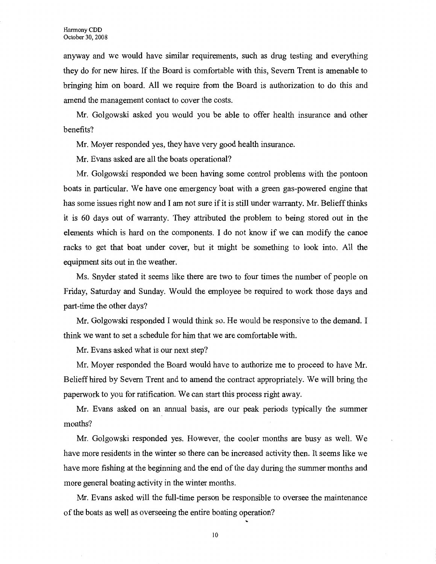anyway and we would have similar requirements, such as drug testing and everything they do for new hires. If the Board is comfortable with this, Severn Trent is amenable to bringing him on board. All we require from the Board is authorization to do this and amend the management contact to cover the costs.

Mr. Golgowski asked you would you be able to offer health insurance and other benefits?

Mr. Moyer responded yes, they have very good health insurance.

Mr. Evans asked are all the boats operational?

Mr. Golgowski responded we been having some control problems with the pontoon boats in particular. We have one emergency boat with a green gas-powered engine that has some issues right now and I am not sure if it is still under warranty. Mr. Belieff thinks it is 60 days out of warranty. They attributed the problem to being stored out in the elements which is hard on the components. I do not know if we can modify the canoe racks to get that boat under cover, but it might be something to look into. All the equipment sits out in the weather.

Ms. Snyder stated it seems like there are two to four times the number of people on Friday, Saturday and Sunday. Would the employee be required to work those days and part-time the other days?

Mr. Golgowski responded I would think so. He would be responsive to the demand. I think we want to set a schedule for him that we are comfortable with.

Mr. Evans asked what is our next step?

Mr. Moyer responded the Board would have to authorize me to proceed to have Mr. Belieffhired by Severn Trent and to amend the contract appropriately. We will bring the paperwork to you for ratification. We can start this process right away.

Mr. Evans asked on an annual basis, are our peak periods typically the summer months?

Mr. Golgowski responded yes. However, the cooler months are busy as well. We have more residents in the winter so there can be increased activity then. It seems like we have more fishing at the beginning and the end of the day during the summer months and more general boating activity in the winter months.

Mr. Evans asked will the full-time person be responsible to oversee the maintenance of the boats as well as overseeing the entire boating operation?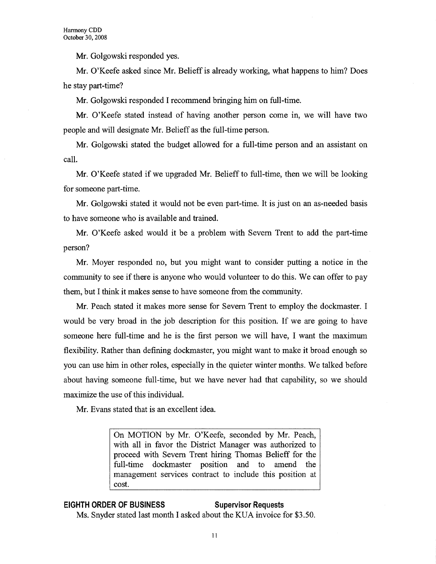**Mr.** Golgowski responded yes.

Mr. O'Keefe asked since Mr. Belieff is already working, what happens to him? Does he stay part-time?

Mr. Golgowski responded I recommend bringing him on full-time.

Mr. O'Keefe stated instead of having another person come in, we will have two people and will designate Mr. Belieff as the full-time person.

Mr. Golgowski stated the budget allowed for a full-time person and an assistant on call.

Mr. O'Keefe stated if we upgraded Mr. Belieff to full-time, then we will be looking for someone part-time.

Mr. Golgowski stated it would not be even part-time. It is just on an as-needed basis to have someone who is available and trained.

Mr. O'Keefe asked would it be a problem with Severn Trent to add the part-time person?

Mr. Moyer responded no, but you might want to consider putting a notice in the community to see if there is anyone who would volunteer to do this. We can offer to pay them, but I think it makes sense to have someone from the community.

Mr. Peach stated it makes more sense for Severn Trent to employ the dockmaster. I would be very broad in the job description for this position. If we are going to have someone here full-time and he is the first person we will have, I want the maximum flexibility. Rather than defining dockmaster, you might want to make it broad enough so you can use him in other roles, especially in the quieter winter months. We talked before about having someone full-time, but we have never had that capability, so we should maximize the use of this individual.

Mr. Evans stated that is an excellent idea.

On MOTION by Mr. O'Keefe, seconded by Mr. Peach, with all in favor the District Manager was authorized to proceed with Severn Trent hiring Thomas Belieff for the full-time dockmaster position and to amend the management services contract to include this position at cost.

# **EIGHTH ORDER OF BUSINESS Supervisor Requests**

Ms. Snyder stated last month I asked about the KUA invoice for \$3.50.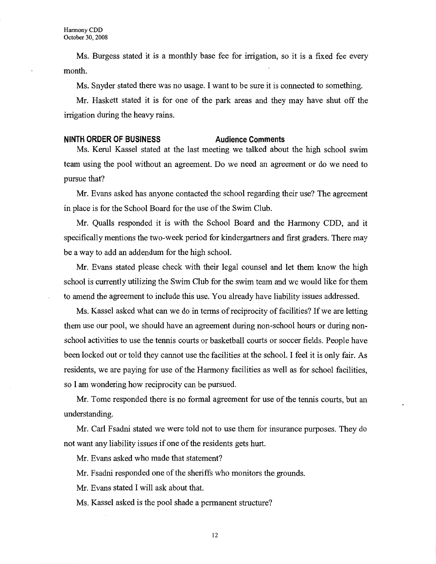Ms. Burgess stated it is a monthly base fee for irrigation, so it is a fixed fee every month.

Ms. Snyder stated there was no usage. I want to be sure it is connected to something.

Mr. Haskett stated it is for one of the park areas and they may have shut off the irrigation during the heavy rains.

#### **NINTH ORDER OF BUSINESS Audience Comments**

Ms. Kerul Kassel stated at the last meeting we talked about the high school swim team using the pool without an agreement. Do we need an agreement or do we need to pursue that?

Mr. Evans asked has anyone contacted the school regarding their use? The agreement in place is for the School Board for the use of the Swim Club.

Mr. Qualls responded it is with the School Board and the Harmony CDD, and it specifically mentions the two-week period for kindergartners and first graders. There may be a way to add an addendum for the high school.

Mr. Evans stated please check with their legal counsel and let them know the high school is currently utilizing the Swim Club for the swim team and we would like for them to amend the agreement to include this use. You already have liability issues addressed.

Ms. Kassel asked what can we do in terms of reciprocity of facilities? If we are letting them use our pool, we should have an agreement during non-school hours or during nonschool activities to use the tennis courts or basketball courts or soccer fields. People have been locked out or told they cannot use the facilities at the school. I feel it is only fair. As residents, we are paying for use of the Harmony facilities as well as for school facilities, so I am wondering how reciprocity can be pursued.

Mr. Tome responded there is no formal agreement for use of the tennis courts, but an understanding.

Mr. Carl Fsadni stated we were told not to use them for insurance purposes. They do not want any liability issues if one of the residents gets hurt.

Mr. Evans asked who made that statement?

Mr. Fsadni responded one of the sheriffs who monitors the grounds.

Mr. Evans stated I will ask about that.

Ms. Kassel asked is the pool shade a permanent structure?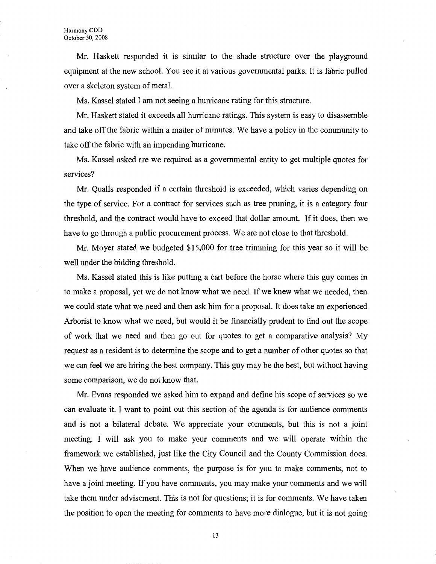Mr. Haskett responded it is similar to the shade structure over the playground equipment at the new school. You see it at various governmental parks. It is fabric pulled over a skeleton system of metal.

Ms. Kassel stated I am not seeing a hurricane rating for this structure.

Mr. Haskett stated it exceeds all hurricane ratings. This system is easy to disassemble and take off the fabric within a matter of minutes. We have a policy in the community to take off the fabric with an impending hurricane.

Ms. Kassel asked are we required as a governmental entity to get multiple quotes for services?

Mr. Qualls responded if a certain threshold is exceeded, which varies depending on the type of service. For a contract for services such as tree pruning, it is a category four threshold, and the contract would have to exceed that dollar amount. If it does, then we have to go through a public procurement process. We are not close to that threshold.

Mr. Moyer stated we budgeted \$15,000 for tree trimming for this year so it will be well under the bidding threshold.

Ms. Kassel stated this is like putting a cart before the horse where this guy comes in to make a proposal, yet we do not know what we need. If we knew what we needed, then we could state what we need and then ask him for a proposal. It does take an experienced Arborist to know what we need, but would it be financially prudent to find out the scope of work that we need and then go out for quotes to get a comparative analysis? My request as a resident is to determine the scope and to get a number of other quotes so that we can feel we are hiring the best company. This guy may be the best, but without having some comparison, we do not know that.

Mr. Evans responded we asked him to expand and define his scope of services so we can evaluate it. I want to point out this section of the agenda is for audience comments and is not a bilateral debate. We appreciate your comments, but this is not a joint meeting. I will ask you to make your comments and we will operate within the framework we established, just like the City Council and the County Commission does. When we have audience comments, the purpose is for you to make comments, not to have a joint meeting. If you have comments, you may make your comments and we will take them under advisement. This is not for questions; it is for comments. We have taken the position to open the meeting for comments to have more dialogue, but it is not going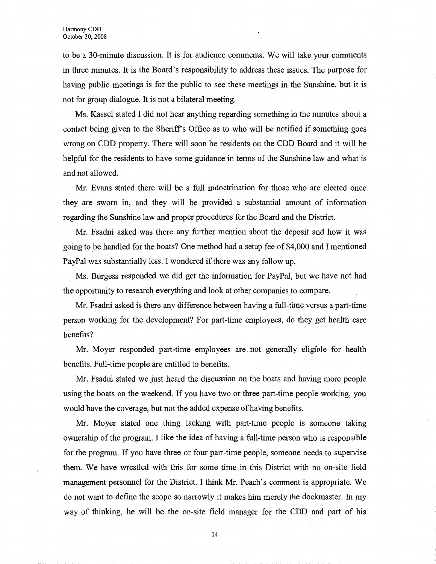to be a 30-minute discussion. It is for audience comments. We will take your comments in three minutes. It is the Board's responsibility to address these issues. The purpose for having public meetings is for the public to see these meetings in the Sunshine, but it is not for group dialogue. It is not a bilateral meeting.

Ms. Kassel stated I did not hear anything regarding something in the minutes about a contact being given to the Sheriffs Office as to who will be notified if something goes wrong on CDD property. There will soon be residents on the CDD Board and it will be helpful for the residents to have some guidance in terms of the Sunshine law and what is and not allowed.

Mr. Evans stated there will be a full indoctrination for those who are elected once they are sworn in, and they will be provided a substantial amount of information regarding the Sunshine law and proper procedures for the Board and the District.

Mr. Fsadni asked was there any further mention about the deposit and how it was going to \_be handled for the boats? One method had a setup fee of \$4,000 and I mentioned PayPal was substantially less. I wondered if there was any follow up.

Ms. Burgess responded we did get the information for PayPal, but we have not had the opportunity to research everything and look at other companies to compare.

Mr. Fsadni asked is there any difference between having a full-time versus a part-time person working for the development? For part-time employees, do they get health care benefits?

Mr. Moyer responded part-time employees are. not generally eligible for health benefits. Full-time people are entitled to benefits.

Mr. Fsadni stated we just heard the discussion on the boats and having more people using the boats on the weekend. If you have two or three part-time people working, you would have the coverage, but not the added expense of having benefits.

Mr. Moyer stated one thing lacking with part-time people is someone taking ownership of the program. I like the idea of having a full-time person who is responsible for the program. If you have three or four part-time people, someone needs to supervise them. We have wrestled with this for some time in this District with no on-site field management personnel for the District. I think Mr. Peach's comment is appropriate. We do not want to define the scope so narrowly it makes him merely the dockmaster. In my way of thinking, he will be the on-site field manager for the CDD and part of his